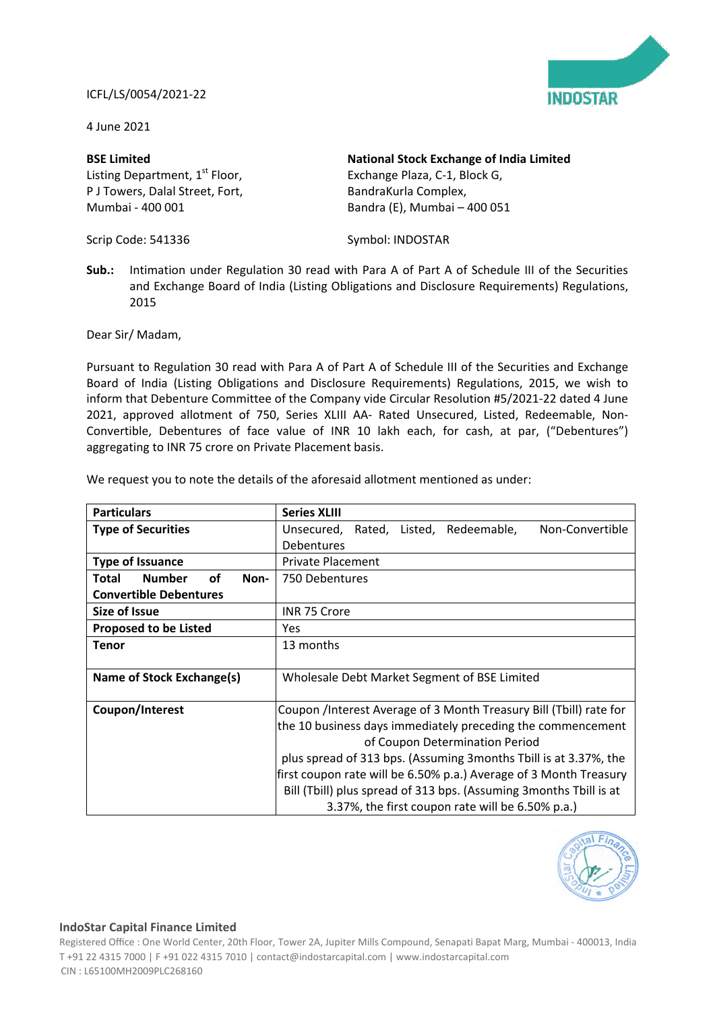## ICFL/LS/0054/2021-22



4 June 2021

## **BSE Limited** Listing Department, 1<sup>st</sup> Floor, P J Towers, Dalal Street, Fort, Mumbai - 400 001

Scrip Code: 541336

Bandra (E), Mumbai – 400 051

Exchange Plaza, C-1, Block G, BandraKurla Complex,

**National Stock Exchange of India Limited**

Symbol: INDOSTAR

**Sub.:** Intimation under Regulation 30 read with Para A of Part A of Schedule III of the Securities and Exchange Board of India (Listing Obligations and Disclosure Requirements) Regulations, 2015

Dear Sir/ Madam,

Pursuant to Regulation 30 read with Para A of Part A of Schedule III of the Securities and Exchange Board of India (Listing Obligations and Disclosure Requirements) Regulations, 2015, we wish to inform that Debenture Committee of the Company vide Circular Resolution #5/2021-22 dated 4 June 2021, approved allotment of 750, Series XLIII AA- Rated Unsecured, Listed, Redeemable, Non-Convertible, Debentures of face value of INR 10 lakh each, for cash, at par, ("Debentures") aggregating to INR 75 crore on Private Placement basis.

| <b>Particulars</b>                          | <b>Series XLIII</b>                                                |
|---------------------------------------------|--------------------------------------------------------------------|
| <b>Type of Securities</b>                   | Non-Convertible<br>Unsecured,<br>Rated, Listed, Redeemable,        |
|                                             | <b>Debentures</b>                                                  |
| <b>Type of Issuance</b>                     | Private Placement                                                  |
| <b>Number</b><br><b>of</b><br>Total<br>Non- | 750 Debentures                                                     |
| <b>Convertible Debentures</b>               |                                                                    |
| Size of Issue                               | INR 75 Crore                                                       |
| <b>Proposed to be Listed</b>                | <b>Yes</b>                                                         |
| <b>Tenor</b>                                | 13 months                                                          |
|                                             |                                                                    |
| Name of Stock Exchange(s)                   | Wholesale Debt Market Segment of BSE Limited                       |
|                                             |                                                                    |
| Coupon/Interest                             | Coupon /Interest Average of 3 Month Treasury Bill (Tbill) rate for |
|                                             | the 10 business days immediately preceding the commencement        |
|                                             | of Coupon Determination Period                                     |
|                                             | plus spread of 313 bps. (Assuming 3 months Tbill is at 3.37%, the  |
|                                             | first coupon rate will be 6.50% p.a.) Average of 3 Month Treasury  |
|                                             | Bill (Tbill) plus spread of 313 bps. (Assuming 3months Tbill is at |
|                                             | 3.37%, the first coupon rate will be 6.50% p.a.)                   |

We request you to note the details of the aforesaid allotment mentioned as under:



## **IndoStar Capital Finance Limited**

Registered Office : One World Center, 20th Floor, Tower 2A, Jupiter Mills Compound, Senapati Bapat Marg, Mumbai - 400013, India T +91 22 4315 7000 | F +91 022 4315 7010 | contact@indostarcapital.com | www.indostarcapital.com CIN : L65100MH2009PLC268160